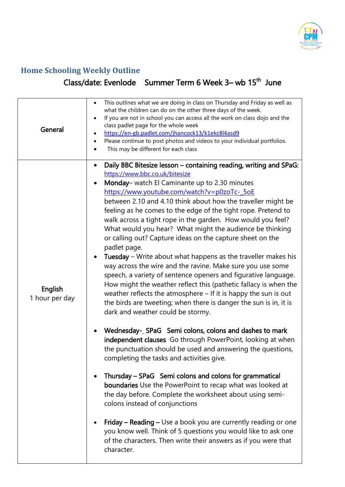

## **Home Schooling Weekly Outline**

## Class/date: Evenlode Summer Term 6 Week 3– wb 15<sup>th</sup> June

| General                   | This outlines what we are doing in class on Thursday and Friday as well as<br>٠<br>what the children can do on the other three days of the week.<br>If you are not in school you can access all the work on class dojo and the<br>class padlet page for the whole week<br>https://en-gb.padlet.com/jhancock13/k1ekc8l4asd9<br>$\bullet$<br>Please continue to post photos and videos to your individual portfolios.<br>$\bullet$<br>This may be different for each class<br>$\bullet$                                                                                                                                                                                                                                                                                                                                                                                                                                                                                                                                                                                                                                                                                                                                                                                                                                                                                                                                                                                                                                                                                                                                                                                        |
|---------------------------|------------------------------------------------------------------------------------------------------------------------------------------------------------------------------------------------------------------------------------------------------------------------------------------------------------------------------------------------------------------------------------------------------------------------------------------------------------------------------------------------------------------------------------------------------------------------------------------------------------------------------------------------------------------------------------------------------------------------------------------------------------------------------------------------------------------------------------------------------------------------------------------------------------------------------------------------------------------------------------------------------------------------------------------------------------------------------------------------------------------------------------------------------------------------------------------------------------------------------------------------------------------------------------------------------------------------------------------------------------------------------------------------------------------------------------------------------------------------------------------------------------------------------------------------------------------------------------------------------------------------------------------------------------------------------|
| English<br>1 hour per day | Daily BBC Bitesize lesson – containing reading, writing and SPaG:<br>https://www.bbc.co.uk/bitesize<br>Monday- watch El Caminante up to 2.30 minutes<br>https://www.youtube.com/watch?v=p0zoTc-_5oE<br>between 2.10 and 4.10 think about how the traveller might be<br>feeling as he comes to the edge of the tight rope. Pretend to<br>walk across a tight rope in the garden. How would you feel?<br>What would you hear? What might the audience be thinking<br>or calling out? Capture ideas on the capture sheet on the<br>padlet page.<br>Tuesday - Write about what happens as the traveller makes his<br>way across the wire and the ravine. Make sure you use some<br>speech, a variety of sentence openers and figurative language.<br>How might the weather reflect this (pathetic fallacy is when the<br>weather reflects the atmosphere - If it is happy the sun is out<br>the birds are tweeting; when there is danger the sun is in, it is<br>dark and weather could be stormy.<br>Wednesday-_ SPaG Semi colons, colons and dashes to mark<br>independent clauses Go through PowerPoint, looking at when<br>the punctuation should be used and answering the questions,<br>completing the tasks and activities give.<br>Thursday - SPaG Semi colons and colons for grammatical<br>boundaries Use the PowerPoint to recap what was looked at<br>the day before. Complete the worksheet about using semi-<br>colons instead of conjunctions<br>Friday – Reading – Use a book you are currently reading or one<br>you know well. Think of 5 questions you would like to ask one<br>of the characters. Then write their answers as if you were that<br>character. |